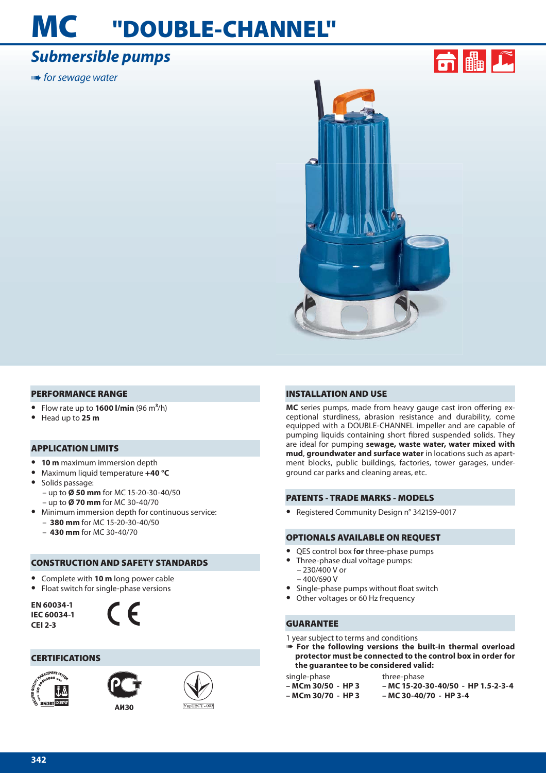# **MC "DOUBLE-CHANNEL"**

# *Submersible pumps*

**IIIIIII•** for sewage water



#### **PERFORMANCE RANGE**

- **•** Flow rate up to **1600 l/min** (96 m**3**/h)
- **•** Head up to **25 m**

#### **APPLICATION LIMITS**

- **• 10 m** maximum immersion depth
- **•** Maximum liquid temperature **+40 °C**
- **•** Solids passage: – up to **Ø 50 mm** for MC 15-20-30-40/50 – up to **Ø 70 mm** for MC 30-40/70
- **•** Minimum immersion depth for continuous service: – **380 mm** for MC 15-20-30-40/50
	- **430 mm** for MC 30-40/70

#### **CONSTRUCTION AND SAFETY STANDARDS**

- **•** Complete with **10 m** long power cable
- **•** Float switch for single-phase versions

**EN 60034-1 IEC 60034-1 CEI 2-3**



### **CERTIFICATIONS**





**AM30** 

УкрТЕСТ-003

### **INSTALLATION AND USE**

MC series pumps, made from heavy gauge cast iron offering exceptional sturdiness, abrasion resistance and durability, come equipped with a DOUBLE-CHANNEL impeller and are capable of pumping liquids containing short fibred suspended solids. They are ideal for pumping **sewage, waste water, water mixed with mud**, **groundwater and surface water** in locations such as apartment blocks, public buildings, factories, tower garages, underground car parks and cleaning areas, etc.

### **PATENTS - TRADE MARKS - MODELS**

**•** Registered Community Design n° 342159-0017

#### **OPTIONALS AVAILABLE ON REQUEST**

- **•** QES control box f**or** three-phase pumps
- **•** Three-phase dual voltage pumps:
- $-230/400$  V or – 400/690 V
- Single-phase pumps without float switch
- **•** Other voltages or 60 Hz frequency

#### **GUARANTEE**

1 year subject to terms and conditions

➠ **For the following versions the built-in thermal overload protector must be connected to the control box in order for the guarantee to be considered valid:**

single-phase

- **MCm 30/50 HP 3 – MCm 30/70 - HP 3**
- 

three-phase **– MC 15-20-30-40/50 - HP 1.5-2-3-4 – MC 30-40/70 - HP 3-4**

**342**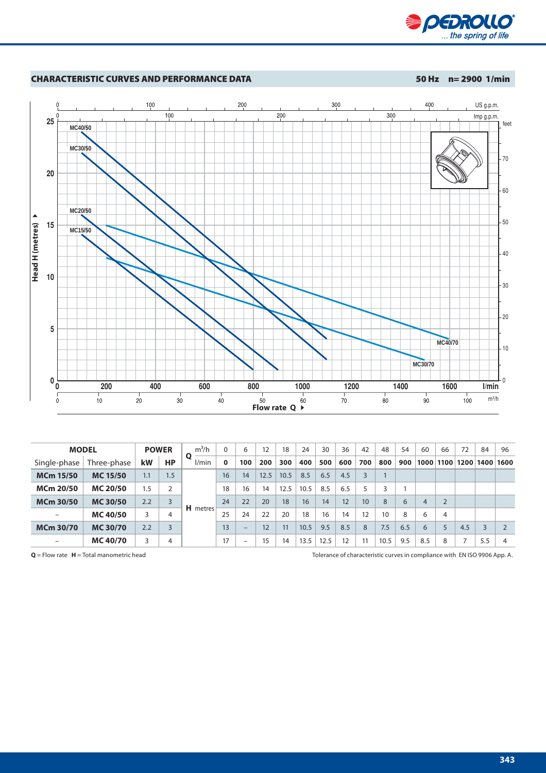



| <b>MODEL</b>     |                 |     | <b>POWER</b>   | $m^3/h$    | $\Omega$ | 6                        | 12   | 18   | 24   | 30   | 36  | 42  | 48   | 54  | 60   | 66             | 72             | 84  | 96   |
|------------------|-----------------|-----|----------------|------------|----------|--------------------------|------|------|------|------|-----|-----|------|-----|------|----------------|----------------|-----|------|
| Single-phase     | Three-phase     | kW  | HP             | О<br>l/min | $\bf{0}$ | 100                      | 200  | 300  | 400  | 500  | 600 | 700 | 800  | 900 | 1000 |                | 1100 1200 1400 |     | 1600 |
| <b>MCm 15/50</b> | <b>MC 15/50</b> | 1.1 | 1.5            | H metres   | 16       | 14                       | 12.5 | 10.5 | 8.5  | 6.5  | 4.5 |     |      |     |      |                |                |     |      |
| <b>MCm 20/50</b> | <b>MC 20/50</b> | 1.5 | 2              |            | 18       | 16                       | 14   | 12.5 | 10.5 | 8.5  | 6.5 | 5   |      |     |      |                |                |     |      |
| <b>MCm 30/50</b> | <b>MC 30/50</b> | 2.2 |                |            | 24       | 22                       | 20   | 18   | 16   | 14   | 12  | 10  | 8    | 6   | 4    | $\overline{2}$ |                |     |      |
|                  | <b>MC 40/50</b> | 3   | 4              |            | 25       | 24                       | 22   | 20   | 18   | 16   | 14  | 12  | 10   | 8   | 6    | $\overline{4}$ |                |     |      |
| <b>MCm 30/70</b> | <b>MC30/70</b>  | 2.2 | $\overline{3}$ |            | 13       | $\qquad \qquad -$        | 12   | 11   | 10.5 | 9.5  | 8.5 | 8   | 7.5  | 6.5 | 6    | 5              | 4.5            | 3   |      |
|                  | <b>MC 40/70</b> | 3   | 4              |            | 17       | $\overline{\phantom{0}}$ | 15   | 14   | 13.5 | 12.5 | 12  | 11  | 10.5 | 9.5 | 8.5  | 8              |                | 5.5 | 4    |
|                  |                 |     |                |            |          |                          |      |      |      |      |     |     |      |     |      |                |                |     |      |

**Q** = Flow rate **H** = Total manometric head Tolerance of characteristic curves in compliance with EN ISO 9906 App. A.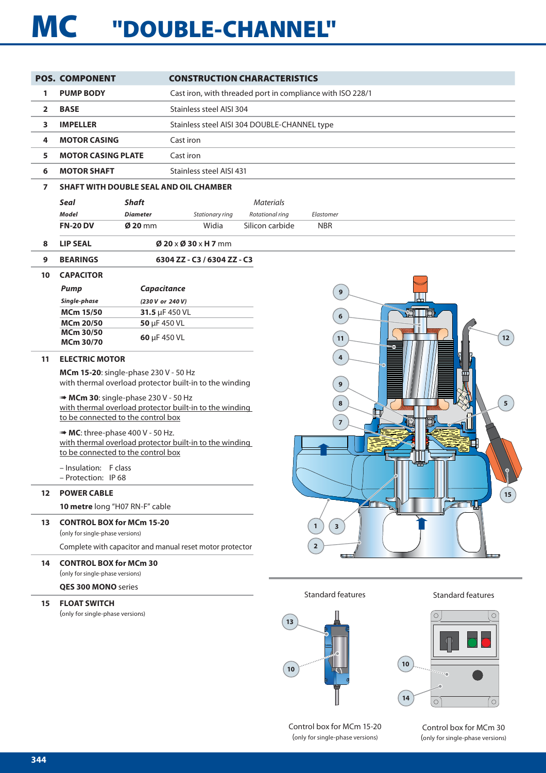# **MC "DOUBLE-CHANNEL"**

|                | <b>POS. COMPONENT</b>                                                                         | <b>CONSTRUCTION CHARACTERISTICS</b>                        |
|----------------|-----------------------------------------------------------------------------------------------|------------------------------------------------------------|
| 1              | <b>PUMP BODY</b>                                                                              | Cast iron, with threaded port in compliance with ISO 228/1 |
| $\overline{2}$ | <b>BASE</b>                                                                                   | Stainless steel AISI 304                                   |
| 3              | <b>IMPELLER</b>                                                                               | Stainless steel AISI 304 DOUBLE-CHANNEL type               |
| 4              | <b>MOTOR CASING</b>                                                                           | Cast iron                                                  |
| 5              | <b>MOTOR CASING PLATE</b>                                                                     | Cast iron                                                  |
| 6              | <b>MOTOR SHAFT</b>                                                                            | Stainless steel AISI 431                                   |
| 7              | <b>SHAFT WITH DOUBLE SEAL AND OIL CHAMBER</b>                                                 |                                                            |
|                | Seal<br><b>Shaft</b>                                                                          | <b>Materials</b>                                           |
|                | <b>Model</b><br><b>Diameter</b>                                                               | Stationary ring<br>Rotational ring<br>Elastomer            |
|                | <b>FN-20 DV</b><br>$Ø$ 20 mm                                                                  | Widia<br>Silicon carbide<br><b>NBR</b>                     |
| 8              | <b>LIP SEAL</b>                                                                               | $Ø$ 20 $\times$ Ø 30 $\times$ H 7 mm                       |
| 9              | <b>BEARINGS</b>                                                                               | 6304 ZZ - C3 / 6304 ZZ - C3                                |
| 10             | <b>CAPACITOR</b>                                                                              |                                                            |
|                | Capacitance<br><b>Pump</b>                                                                    | 9                                                          |
|                | Single-phase                                                                                  | (230 V or 240 V)                                           |
|                | <b>MCm 15/50</b>                                                                              | 31.5 µF 450 VL<br>6                                        |
|                | <b>MCm 20/50</b><br>50 µF 450 VL                                                              |                                                            |
|                | MCm 30/50<br>60 µF 450 VL<br>MCm 30/70                                                        | $12$<br>11                                                 |
| 11             | <b>ELECTRIC MOTOR</b>                                                                         | 4                                                          |
|                | MCm 15-20: single-phase 230 V - 50 Hz                                                         |                                                            |
|                | with thermal overload protector built-in to the winding                                       | 9                                                          |
|                | MCm 30: single-phase 230 V - 50 Hz                                                            | $5\overline{5}$<br>8                                       |
|                | with thermal overload protector built-in to the winding<br>to be connected to the control box |                                                            |
|                |                                                                                               | $\overline{7}$                                             |
|                | MC: three-phase 400 V - 50 Hz.<br>with thermal overload protector built-in to the winding     |                                                            |
|                | to be connected to the control box                                                            |                                                            |
|                | - Insulation: F class                                                                         |                                                            |
|                | - Protection: IP 68                                                                           |                                                            |
| 12             | <b>POWER CABLE</b>                                                                            | $15\,$                                                     |
|                | 10 metre long "H07 RN-F" cable                                                                | $\blacktriangleright$                                      |
| 13             | <b>CONTROL BOX for MCm 15-20</b><br>(only for single-phase versions)                          | $\mathbf{1}$<br>$\overline{\mathbf{3}}$                    |
|                | Complete with capacitor and manual reset motor protector                                      | $\overline{2}$                                             |
| 14             | <b>CONTROL BOX for MCm 30</b>                                                                 |                                                            |
|                | (only for single-phase versions)                                                              |                                                            |
|                | <b>QES 300 MONO</b> series                                                                    | <b>Standard features</b><br><b>Standard features</b>       |
| 15             | <b>FLOAT SWITCH</b>                                                                           |                                                            |
|                | (only for single-phase versions)                                                              | $\circ$<br>$\circ$                                         |
|                |                                                                                               | 13                                                         |
|                |                                                                                               |                                                            |
|                |                                                                                               |                                                            |
|                |                                                                                               | $10$<br>$10$                                               |
|                |                                                                                               | $\cdots$                                                   |

Control box for MCm 15-20 (only for single-phase versions)

Control box for MCm 30 (only for single-phase versions)

 $\circ$ 

**14**

 $\overline{\circ}$